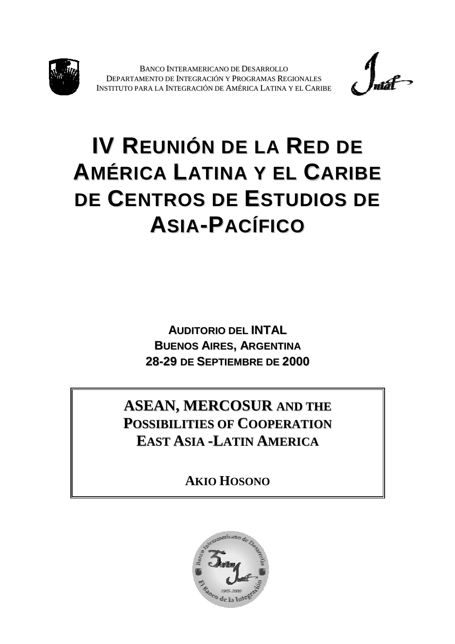



# **IV REUNIÓN DE LA RED DE AMÉRICA LATINA Y EL CARIBE DE CENTROS DE ESTUDIOS DE ASIA-PACÍFICO**

**AUDITORIO DEL INTAL BUENOS AIRES, ARGENTINA 28-29 DE SEPTIEMBRE DE 2000**

**ASEAN, MERCOSUR AND THE POSSIBILITIES OF COOPERATION EAST ASIA -LATIN AMERICA**

**AKIO HOSONO**

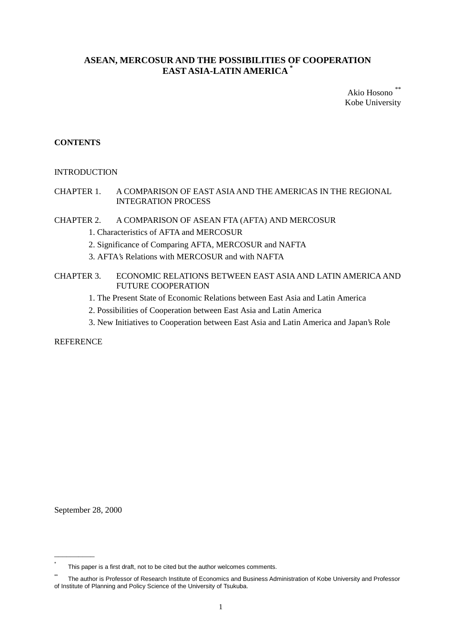# **ASEAN, MERCOSUR AND THE POSSIBILITIES OF COOPERATION EAST ASIA-LATIN AMERICA \***

Akio Hosono Kobe University

# **CONTENTS**

## INTRODUCTION

# CHAPTER 1. A COMPARISON OF EAST ASIA AND THE AMERICAS IN THE REGIONAL INTEGRATION PROCESS

## CHAPTER 2. A COMPARISON OF ASEAN FTA (AFTA) AND MERCOSUR

- 1. Characteristics of AFTA and MERCOSUR
- 2. Significance of Comparing AFTA, MERCOSUR and NAFTA
- 3. AFTA's Relations with MERCOSUR and with NAFTA
- CHAPTER 3. ECONOMIC RELATIONS BETWEEN EAST ASIA AND LATIN AMERICA AND FUTURE COOPERATION
	- 1. The Present State of Economic Relations between East Asia and Latin America
	- 2. Possibilities of Cooperation between East Asia and Latin America
	- 3. New Initiatives to Cooperation between East Asia and Latin America and Japan's Role

**REFERENCE** 

September 28, 2000

BBBBBBBBBB

This paper is a first draft, not to be cited but the author welcomes comments.

The author is Professor of Research Institute of Economics and Business Administration of Kobe University and Professor of Institute of Planning and Policy Science of the University of Tsukuba.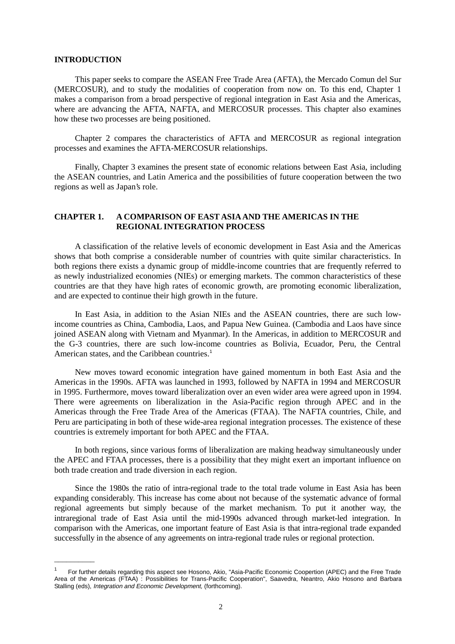#### **INTRODUCTION**

BBBBBBBBBB

This paper seeks to compare the ASEAN Free Trade Area (AFTA), the Mercado Comun del Sur (MERCOSUR), and to study the modalities of cooperation from now on. To this end, Chapter 1 makes a comparison from a broad perspective of regional integration in East Asia and the Americas, where are advancing the AFTA, NAFTA, and MERCOSUR processes. This chapter also examines how these two processes are being positioned.

Chapter 2 compares the characteristics of AFTA and MERCOSUR as regional integration processes and examines the AFTA-MERCOSUR relationships.

Finally, Chapter 3 examines the present state of economic relations between East Asia, including the ASEAN countries, and Latin America and the possibilities of future cooperation between the two regions as well as Japan's role.

## **CHAPTER 1. A COMPARISON OF EAST ASIA AND THE AMERICAS IN THE REGIONAL INTEGRATION PROCESS**

A classification of the relative levels of economic development in East Asia and the Americas shows that both comprise a considerable number of countries with quite similar characteristics. In both regions there exists a dynamic group of middle-income countries that are frequently referred to as newly industrialized economies (NIEs) or emerging markets. The common characteristics of these countries are that they have high rates of economic growth, are promoting economic liberalization, and are expected to continue their high growth in the future.

In East Asia, in addition to the Asian NIEs and the ASEAN countries, there are such lowincome countries as China, Cambodia, Laos, and Papua New Guinea. (Cambodia and Laos have since joined ASEAN along with Vietnam and Myanmar). In the Americas, in addition to MERCOSUR and the G-3 countries, there are such low-income countries as Bolivia, Ecuador, Peru, the Central American states, and the Caribbean countries.<sup>1</sup>

New moves toward economic integration have gained momentum in both East Asia and the Americas in the 1990s. AFTA was launched in 1993, followed by NAFTA in 1994 and MERCOSUR in 1995. Furthermore, moves toward liberalization over an even wider area were agreed upon in 1994. There were agreements on liberalization in the Asia-Pacific region through APEC and in the Americas through the Free Trade Area of the Americas (FTAA). The NAFTA countries, Chile, and Peru are participating in both of these wide-area regional integration processes. The existence of these countries is extremely important for both APEC and the FTAA.

In both regions, since various forms of liberalization are making headway simultaneously under the APEC and FTAA processes, there is a possibility that they might exert an important influence on both trade creation and trade diversion in each region.

Since the 1980s the ratio of intra-regional trade to the total trade volume in East Asia has been expanding considerably. This increase has come about not because of the systematic advance of formal regional agreements but simply because of the market mechanism. To put it another way, the intraregional trade of East Asia until the mid-1990s advanced through market-led integration. In comparison with the Americas, one important feature of East Asia is that intra-regional trade expanded successfully in the absence of any agreements on intra-regional trade rules or regional protection.

<sup>1</sup> For further details regarding this aspect see Hosono, Akio, "Asia-Pacific Economic Coopertion (APEC) and the Free Trade Area of the Americas (FTAA) : Possibilities for Trans-Pacific Cooperation", Saavedra, Neantro, Akio Hosono and Barbara Stalling (eds), Integration and Economic Development, (forthcoming).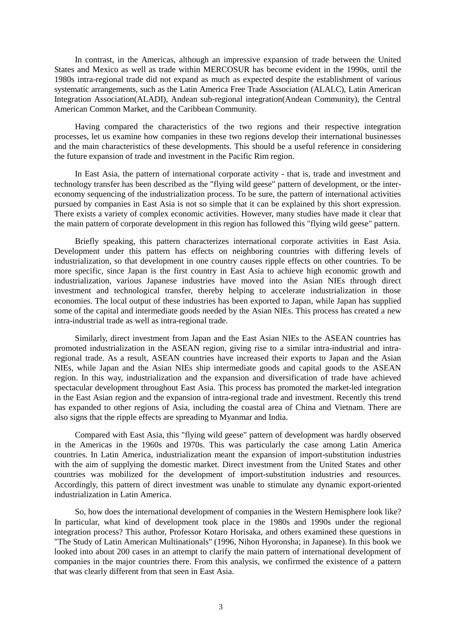In contrast, in the Americas, although an impressive expansion of trade between the United States and Mexico as well as trade within MERCOSUR has become evident in the 1990s, until the 1980s intra-regional trade did not expand as much as expected despite the establishment of various systematic arrangements, such as the Latin America Free Trade Association (ALALC), Latin American Integration Association(ALADI), Andean sub-regional integration(Andean Community), the Central American Common Market, and the Caribbean Community.

Having compared the characteristics of the two regions and their respective integration processes, let us examine how companies in these two regions develop their international businesses and the main characteristics of these developments. This should be a useful reference in considering the future expansion of trade and investment in the Pacific Rim region.

In East Asia, the pattern of international corporate activity - that is, trade and investment and technology transfer has been described as the "flying wild geese" pattern of development, or the intereconomy sequencing of the industrialization process. To be sure, the pattern of international activities pursued by companies in East Asia is not so simple that it can be explained by this short expression. There exists a variety of complex economic activities. However, many studies have made it clear that the main pattern of corporate development in this region has followed this "flying wild geese" pattern.

Briefly speaking, this pattern characterizes international corporate activities in East Asia. Development under this pattern has effects on neighboring countries with differing levels of industrialization, so that development in one country causes ripple effects on other countries. To be more specific, since Japan is the first country in East Asia to achieve high economic growth and industrialization, various Japanese industries have moved into the Asian NIEs through direct investment and technological transfer, thereby helping to accelerate industrialization in those economies. The local output of these industries has been exported to Japan, while Japan has supplied some of the capital and intermediate goods needed by the Asian NIEs. This process has created a new intra-industrial trade as well as intra-regional trade.

Similarly, direct investment from Japan and the East Asian NIEs to the ASEAN countries has promoted industrialization in the ASEAN region, giving rise to a similar intra-industrial and intraregional trade. As a result, ASEAN countries have increased their exports to Japan and the Asian NIEs, while Japan and the Asian NIEs ship intermediate goods and capital goods to the ASEAN region. In this way, industrialization and the expansion and diversification of trade have achieved spectacular development throughout East Asia. This process has promoted the market-led integration in the East Asian region and the expansion of intra-regional trade and investment. Recently this trend has expanded to other regions of Asia, including the coastal area of China and Vietnam. There are also signs that the ripple effects are spreading to Myanmar and India.

Compared with East Asia, this "flying wild geese" pattern of development was hardly observed in the Americas in the 1960s and 1970s. This was particularly the case among Latin America countries. In Latin America, industrialization meant the expansion of import-substitution industries with the aim of supplying the domestic market. Direct investment from the United States and other countries was mobilized for the development of import-substitution industries and resources. Accordingly, this pattern of direct investment was unable to stimulate any dynamic export-oriented industrialization in Latin America.

So, how does the international development of companies in the Western Hemisphere look like? In particular, what kind of development took place in the 1980s and 1990s under the regional integration process? This author, Professor Kotaro Horisaka, and others examined these questions in "The Study of Latin American Multinationals" (1996, Nihon Hyoronsha; in Japanese). In this book we looked into about 200 cases in an attempt to clarify the main pattern of international development of companies in the major countries there. From this analysis, we confirmed the existence of a pattern that was clearly different from that seen in East Asia.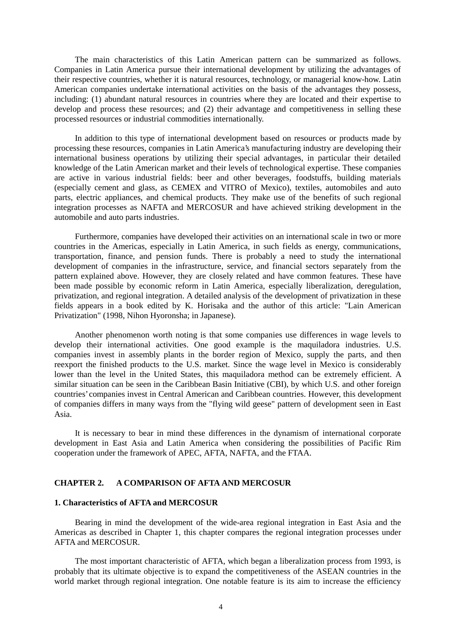The main characteristics of this Latin American pattern can be summarized as follows. Companies in Latin America pursue their international development by utilizing the advantages of their respective countries, whether it is natural resources, technology, or managerial know-how. Latin American companies undertake international activities on the basis of the advantages they possess, including: (1) abundant natural resources in countries where they are located and their expertise to develop and process these resources; and (2) their advantage and competitiveness in selling these processed resources or industrial commodities internationally.

In addition to this type of international development based on resources or products made by processing these resources, companies in Latin America's manufacturing industry are developing their international business operations by utilizing their special advantages, in particular their detailed knowledge of the Latin American market and their levels of technological expertise. These companies are active in various industrial fields: beer and other beverages, foodstuffs, building materials (especially cement and glass, as CEMEX and VITRO of Mexico), textiles, automobiles and auto parts, electric appliances, and chemical products. They make use of the benefits of such regional integration processes as NAFTA and MERCOSUR and have achieved striking development in the automobile and auto parts industries.

Furthermore, companies have developed their activities on an international scale in two or more countries in the Americas, especially in Latin America, in such fields as energy, communications, transportation, finance, and pension funds. There is probably a need to study the international development of companies in the infrastructure, service, and financial sectors separately from the pattern explained above. However, they are closely related and have common features. These have been made possible by economic reform in Latin America, especially liberalization, deregulation, privatization, and regional integration. A detailed analysis of the development of privatization in these fields appears in a book edited by K. Horisaka and the author of this article: "Lain American Privatization" (1998, Nihon Hyoronsha; in Japanese).

Another phenomenon worth noting is that some companies use differences in wage levels to develop their international activities. One good example is the maquiladora industries. U.S. companies invest in assembly plants in the border region of Mexico, supply the parts, and then reexport the finished products to the U.S. market. Since the wage level in Mexico is considerably lower than the level in the United States, this maquiladora method can be extremely efficient. A similar situation can be seen in the Caribbean Basin Initiative (CBI), by which U.S. and other foreign countries' companies invest in Central American and Caribbean countries. However, this development of companies differs in many ways from the "flying wild geese" pattern of development seen in East Asia.

It is necessary to bear in mind these differences in the dynamism of international corporate development in East Asia and Latin America when considering the possibilities of Pacific Rim cooperation under the framework of APEC, AFTA, NAFTA, and the FTAA.

## **CHAPTER 2. A COMPARISON OF AFTA AND MERCOSUR**

#### **1. Characteristics of AFTA and MERCOSUR**

Bearing in mind the development of the wide-area regional integration in East Asia and the Americas as described in Chapter 1, this chapter compares the regional integration processes under AFTA and MERCOSUR.

The most important characteristic of AFTA, which began a liberalization process from 1993, is probably that its ultimate objective is to expand the competitiveness of the ASEAN countries in the world market through regional integration. One notable feature is its aim to increase the efficiency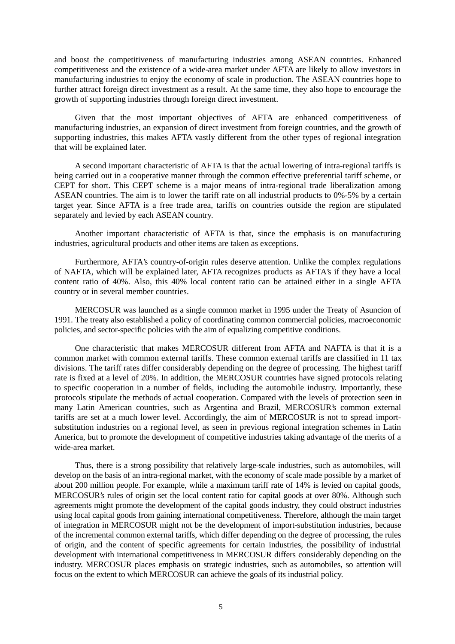and boost the competitiveness of manufacturing industries among ASEAN countries. Enhanced competitiveness and the existence of a wide-area market under AFTA are likely to allow investors in manufacturing industries to enjoy the economy of scale in production. The ASEAN countries hope to further attract foreign direct investment as a result. At the same time, they also hope to encourage the growth of supporting industries through foreign direct investment.

Given that the most important objectives of AFTA are enhanced competitiveness of manufacturing industries, an expansion of direct investment from foreign countries, and the growth of supporting industries, this makes AFTA vastly different from the other types of regional integration that will be explained later.

A second important characteristic of AFTA is that the actual lowering of intra-regional tariffs is being carried out in a cooperative manner through the common effective preferential tariff scheme, or CEPT for short. This CEPT scheme is a major means of intra-regional trade liberalization among ASEAN countries. The aim is to lower the tariff rate on all industrial products to 0%-5% by a certain target year. Since AFTA is a free trade area, tariffs on countries outside the region are stipulated separately and levied by each ASEAN country.

Another important characteristic of AFTA is that, since the emphasis is on manufacturing industries, agricultural products and other items are taken as exceptions.

Furthermore, AFTA's country-of-origin rules deserve attention. Unlike the complex regulations of NAFTA, which will be explained later, AFTA recognizes products as AFTA's if they have a local content ratio of 40%. Also, this 40% local content ratio can be attained either in a single AFTA country or in several member countries.

MERCOSUR was launched as a single common market in 1995 under the Treaty of Asuncion of 1991. The treaty also established a policy of coordinating common commercial policies, macroeconomic policies, and sector-specific policies with the aim of equalizing competitive conditions.

One characteristic that makes MERCOSUR different from AFTA and NAFTA is that it is a common market with common external tariffs. These common external tariffs are classified in 11 tax divisions. The tariff rates differ considerably depending on the degree of processing. The highest tariff rate is fixed at a level of 20%. In addition, the MERCOSUR countries have signed protocols relating to specific cooperation in a number of fields, including the automobile industry. Importantly, these protocols stipulate the methods of actual cooperation. Compared with the levels of protection seen in many Latin American countries, such as Argentina and Brazil, MERCOSUR's common external tariffs are set at a much lower level. Accordingly, the aim of MERCOSUR is not to spread importsubstitution industries on a regional level, as seen in previous regional integration schemes in Latin America, but to promote the development of competitive industries taking advantage of the merits of a wide-area market.

Thus, there is a strong possibility that relatively large-scale industries, such as automobiles, will develop on the basis of an intra-regional market, with the economy of scale made possible by a market of about 200 million people. For example, while a maximum tariff rate of 14% is levied on capital goods, MERCOSUR's rules of origin set the local content ratio for capital goods at over 80%. Although such agreements might promote the development of the capital goods industry, they could obstruct industries using local capital goods from gaining international competitiveness. Therefore, although the main target of integration in MERCOSUR might not be the development of import-substitution industries, because of the incremental common external tariffs, which differ depending on the degree of processing, the rules of origin, and the content of specific agreements for certain industries, the possibility of industrial development with international competitiveness in MERCOSUR differs considerably depending on the industry. MERCOSUR places emphasis on strategic industries, such as automobiles, so attention will focus on the extent to which MERCOSUR can achieve the goals of its industrial policy.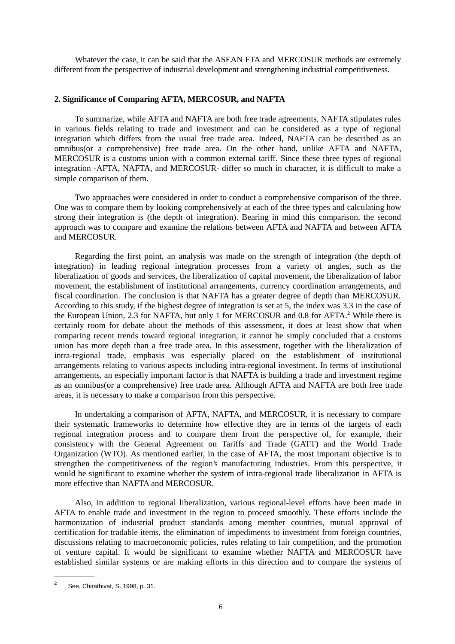Whatever the case, it can be said that the ASEAN FTA and MERCOSUR methods are extremely different from the perspective of industrial development and strengthening industrial competitiveness.

## **2. Significance of Comparing AFTA, MERCOSUR, and NAFTA**

To summarize, while AFTA and NAFTA are both free trade agreements, NAFTA stipulates rules in various fields relating to trade and investment and can be considered as a type of regional integration which differs from the usual free trade area. Indeed, NAFTA can be described as an omnibus(or a comprehensive) free trade area. On the other hand, unlike AFTA and NAFTA, MERCOSUR is a customs union with a common external tariff. Since these three types of regional integration -AFTA, NAFTA, and MERCOSUR- differ so much in character, it is difficult to make a simple comparison of them.

Two approaches were considered in order to conduct a comprehensive comparison of the three. One was to compare them by looking comprehensively at each of the three types and calculating how strong their integration is (the depth of integration). Bearing in mind this comparison, the second approach was to compare and examine the relations between AFTA and NAFTA and between AFTA and MERCOSUR.

Regarding the first point, an analysis was made on the strength of integration (the depth of integration) in leading regional integration processes from a variety of angles, such as the liberalization of goods and services, the liberalization of capital movement, the liberalization of labor movement, the establishment of institutional arrangements, currency coordination arrangements, and fiscal coordination. The conclusion is that NAFTA has a greater degree of depth than MERCOSUR. According to this study, if the highest degree of integration is set at 5, the index was 3.3 in the case of the European Union, 2.3 for NAFTA, but only 1 for MERCOSUR and 0.8 for AFTA.<sup>2</sup> While there is certainly room for debate about the methods of this assessment, it does at least show that when comparing recent trends toward regional integration, it cannot be simply concluded that a customs union has more depth than a free trade area. In this assessment, together with the liberalization of intra-regional trade, emphasis was especially placed on the establishment of institutional arrangements relating to various aspects including intra-regional investment. In terms of institutional arrangements, an especially important factor is that NAFTA is building a trade and investment regime as an omnibus(or a comprehensive) free trade area. Although AFTA and NAFTA are both free trade areas, it is necessary to make a comparison from this perspective.

In undertaking a comparison of AFTA, NAFTA, and MERCOSUR, it is necessary to compare their systematic frameworks to determine how effective they are in terms of the targets of each regional integration process and to compare them from the perspective of, for example, their consistency with the General Agreement on Tariffs and Trade (GATT) and the World Trade Organization (WTO). As mentioned earlier, in the case of AFTA, the most important objective is to strengthen the competitiveness of the region's manufacturing industries. From this perspective, it would be significant to examine whether the system of intra-regional trade liberalization in AFTA is more effective than NAFTA and MERCOSUR.

Also, in addition to regional liberalization, various regional-level efforts have been made in AFTA to enable trade and investment in the region to proceed smoothly. These efforts include the harmonization of industrial product standards among member countries, mutual approval of certification for tradable items, the elimination of impediments to investment from foreign countries, discussions relating to macroeconomic policies, rules relating to fair competition, and the promotion of venture capital. It would be significant to examine whether NAFTA and MERCOSUR have established similar systems or are making efforts in this direction and to compare the systems of

BBBBBBBBBB

<sup>2</sup> See, Chirathivat, S.,1998, p. 31.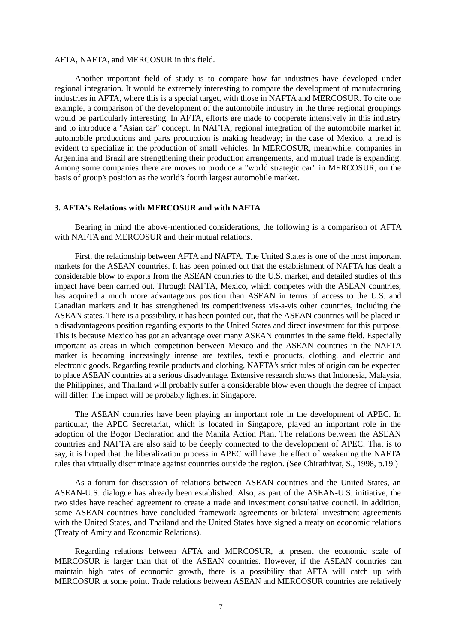#### AFTA, NAFTA, and MERCOSUR in this field.

Another important field of study is to compare how far industries have developed under regional integration. It would be extremely interesting to compare the development of manufacturing industries in AFTA, where this is a special target, with those in NAFTA and MERCOSUR. To cite one example, a comparison of the development of the automobile industry in the three regional groupings would be particularly interesting. In AFTA, efforts are made to cooperate intensively in this industry and to introduce a "Asian car" concept. In NAFTA, regional integration of the automobile market in automobile productions and parts production is making headway; in the case of Mexico, a trend is evident to specialize in the production of small vehicles. In MERCOSUR, meanwhile, companies in Argentina and Brazil are strengthening their production arrangements, and mutual trade is expanding. Among some companies there are moves to produce a "world strategic car" in MERCOSUR, on the basis of group's position as the world's fourth largest automobile market.

### **3. AFTA's Relations with MERCOSUR and with NAFTA**

Bearing in mind the above-mentioned considerations, the following is a comparison of AFTA with NAFTA and MERCOSUR and their mutual relations.

First, the relationship between AFTA and NAFTA. The United States is one of the most important markets for the ASEAN countries. It has been pointed out that the establishment of NAFTA has dealt a considerable blow to exports from the ASEAN countries to the U.S. market, and detailed studies of this impact have been carried out. Through NAFTA, Mexico, which competes with the ASEAN countries, has acquired a much more advantageous position than ASEAN in terms of access to the U.S. and Canadian markets and it has strengthened its competitiveness vis-a-vis other countries, including the ASEAN states. There is a possibility, it has been pointed out, that the ASEAN countries will be placed in a disadvantageous position regarding exports to the United States and direct investment for this purpose. This is because Mexico has got an advantage over many ASEAN countries in the same field. Especially important as areas in which competition between Mexico and the ASEAN countries in the NAFTA market is becoming increasingly intense are textiles, textile products, clothing, and electric and electronic goods. Regarding textile products and clothing, NAFTA's strict rules of origin can be expected to place ASEAN countries at a serious disadvantage. Extensive research shows that Indonesia, Malaysia, the Philippines, and Thailand will probably suffer a considerable blow even though the degree of impact will differ. The impact will be probably lightest in Singapore.

The ASEAN countries have been playing an important role in the development of APEC. In particular, the APEC Secretariat, which is located in Singapore, played an important role in the adoption of the Bogor Declaration and the Manila Action Plan. The relations between the ASEAN countries and NAFTA are also said to be deeply connected to the development of APEC. That is to say, it is hoped that the liberalization process in APEC will have the effect of weakening the NAFTA rules that virtually discriminate against countries outside the region. (See Chirathivat, S., 1998, p.19.)

As a forum for discussion of relations between ASEAN countries and the United States, an ASEAN-U.S. dialogue has already been established. Also, as part of the ASEAN-U.S. initiative, the two sides have reached agreement to create a trade and investment consultative council. In addition, some ASEAN countries have concluded framework agreements or bilateral investment agreements with the United States, and Thailand and the United States have signed a treaty on economic relations (Treaty of Amity and Economic Relations).

Regarding relations between AFTA and MERCOSUR, at present the economic scale of MERCOSUR is larger than that of the ASEAN countries. However, if the ASEAN countries can maintain high rates of economic growth, there is a possibility that AFTA will catch up with MERCOSUR at some point. Trade relations between ASEAN and MERCOSUR countries are relatively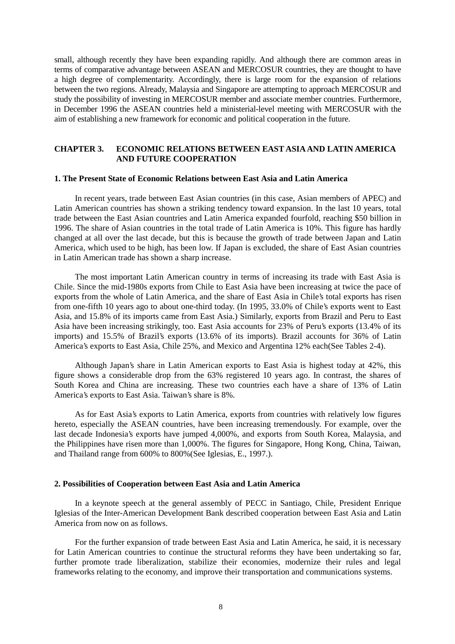small, although recently they have been expanding rapidly. And although there are common areas in terms of comparative advantage between ASEAN and MERCOSUR countries, they are thought to have a high degree of complementarity. Accordingly, there is large room for the expansion of relations between the two regions. Already, Malaysia and Singapore are attempting to approach MERCOSUR and study the possibility of investing in MERCOSUR member and associate member countries. Furthermore, in December 1996 the ASEAN countries held a ministerial-level meeting with MERCOSUR with the aim of establishing a new framework for economic and political cooperation in the future.

## **CHAPTER 3. ECONOMIC RELATIONS BETWEEN EAST ASIA AND LATIN AMERICA AND FUTURE COOPERATION**

#### **1. The Present State of Economic Relations between East Asia and Latin America**

In recent years, trade between East Asian countries (in this case, Asian members of APEC) and Latin American countries has shown a striking tendency toward expansion. In the last 10 years, total trade between the East Asian countries and Latin America expanded fourfold, reaching \$50 billion in 1996. The share of Asian countries in the total trade of Latin America is 10%. This figure has hardly changed at all over the last decade, but this is because the growth of trade between Japan and Latin America, which used to be high, has been low. If Japan is excluded, the share of East Asian countries in Latin American trade has shown a sharp increase.

The most important Latin American country in terms of increasing its trade with East Asia is Chile. Since the mid-1980s exports from Chile to East Asia have been increasing at twice the pace of exports from the whole of Latin America, and the share of East Asia in Chile's total exports has risen from one-fifth 10 years ago to about one-third today. (In 1995, 33.0% of Chile's exports went to East Asia, and 15.8% of its imports came from East Asia.) Similarly, exports from Brazil and Peru to East Asia have been increasing strikingly, too. East Asia accounts for 23% of Peru's exports (13.4% of its imports) and 15.5% of Brazil's exports (13.6% of its imports). Brazil accounts for 36% of Latin America's exports to East Asia, Chile 25%, and Mexico and Argentina 12% each(See Tables 2-4).

Although Japan's share in Latin American exports to East Asia is highest today at 42%, this figure shows a considerable drop from the 63% registered 10 years ago. In contrast, the shares of South Korea and China are increasing. These two countries each have a share of 13% of Latin America's exports to East Asia. Taiwan's share is 8%.

As for East Asia's exports to Latin America, exports from countries with relatively low figures hereto, especially the ASEAN countries, have been increasing tremendously. For example, over the last decade Indonesia's exports have jumped 4,000%, and exports from South Korea, Malaysia, and the Philippines have risen more than 1,000%. The figures for Singapore, Hong Kong, China, Taiwan, and Thailand range from 600% to 800%(See Iglesias, E., 1997.).

## **2. Possibilities of Cooperation between East Asia and Latin America**

In a keynote speech at the general assembly of PECC in Santiago, Chile, President Enrique Iglesias of the Inter-American Development Bank described cooperation between East Asia and Latin America from now on as follows.

For the further expansion of trade between East Asia and Latin America, he said, it is necessary for Latin American countries to continue the structural reforms they have been undertaking so far, further promote trade liberalization, stabilize their economies, modernize their rules and legal frameworks relating to the economy, and improve their transportation and communications systems.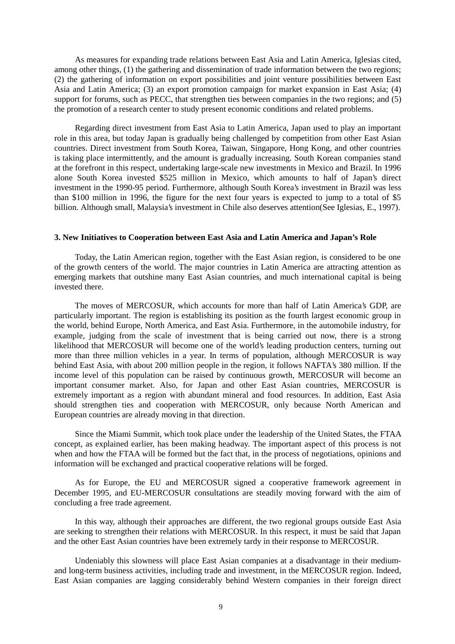As measures for expanding trade relations between East Asia and Latin America, Iglesias cited, among other things, (1) the gathering and dissemination of trade information between the two regions; (2) the gathering of information on export possibilities and joint venture possibilities between East Asia and Latin America; (3) an export promotion campaign for market expansion in East Asia; (4) support for forums, such as PECC, that strengthen ties between companies in the two regions; and (5) the promotion of a research center to study present economic conditions and related problems.

Regarding direct investment from East Asia to Latin America, Japan used to play an important role in this area, but today Japan is gradually being challenged by competition from other East Asian countries. Direct investment from South Korea, Taiwan, Singapore, Hong Kong, and other countries is taking place intermittently, and the amount is gradually increasing. South Korean companies stand at the forefront in this respect, undertaking large-scale new investments in Mexico and Brazil. In 1996 alone South Korea invested \$525 million in Mexico, which amounts to half of Japan's direct investment in the 1990-95 period. Furthermore, although South Korea's investment in Brazil was less than \$100 million in 1996, the figure for the next four years is expected to jump to a total of \$5 billion. Although small, Malaysia's investment in Chile also deserves attention(See Iglesias, E., 1997).

#### **3. New Initiatives to Cooperation between East Asia and Latin America and Japan's Role**

Today, the Latin American region, together with the East Asian region, is considered to be one of the growth centers of the world. The major countries in Latin America are attracting attention as emerging markets that outshine many East Asian countries, and much international capital is being invested there.

The moves of MERCOSUR, which accounts for more than half of Latin America's GDP, are particularly important. The region is establishing its position as the fourth largest economic group in the world, behind Europe, North America, and East Asia. Furthermore, in the automobile industry, for example, judging from the scale of investment that is being carried out now, there is a strong likelihood that MERCOSUR will become one of the world's leading production centers, turning out more than three million vehicles in a year. In terms of population, although MERCOSUR is way behind East Asia, with about 200 million people in the region, it follows NAFTA's 380 million. If the income level of this population can be raised by continuous growth, MERCOSUR will become an important consumer market. Also, for Japan and other East Asian countries, MERCOSUR is extremely important as a region with abundant mineral and food resources. In addition, East Asia should strengthen ties and cooperation with MERCOSUR, only because North American and European countries are already moving in that direction.

Since the Miami Summit, which took place under the leadership of the United States, the FTAA concept, as explained earlier, has been making headway. The important aspect of this process is not when and how the FTAA will be formed but the fact that, in the process of negotiations, opinions and information will be exchanged and practical cooperative relations will be forged.

As for Europe, the EU and MERCOSUR signed a cooperative framework agreement in December 1995, and EU-MERCOSUR consultations are steadily moving forward with the aim of concluding a free trade agreement.

In this way, although their approaches are different, the two regional groups outside East Asia are seeking to strengthen their relations with MERCOSUR. In this respect, it must be said that Japan and the other East Asian countries have been extremely tardy in their response to MERCOSUR.

Undeniably this slowness will place East Asian companies at a disadvantage in their mediumand long-term business activities, including trade and investment, in the MERCOSUR region. Indeed, East Asian companies are lagging considerably behind Western companies in their foreign direct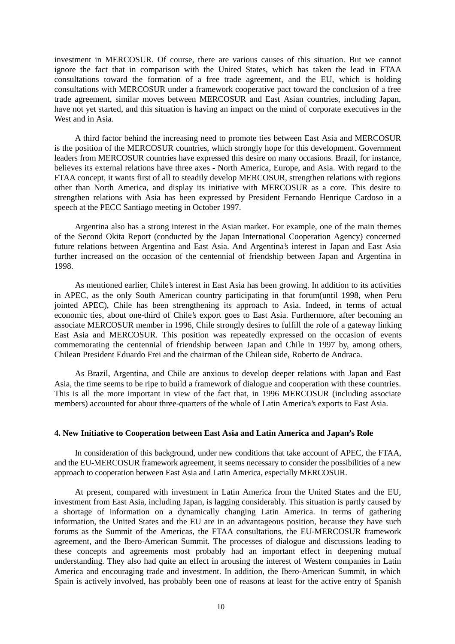investment in MERCOSUR. Of course, there are various causes of this situation. But we cannot ignore the fact that in comparison with the United States, which has taken the lead in FTAA consultations toward the formation of a free trade agreement, and the EU, which is holding consultations with MERCOSUR under a framework cooperative pact toward the conclusion of a free trade agreement, similar moves between MERCOSUR and East Asian countries, including Japan, have not yet started, and this situation is having an impact on the mind of corporate executives in the West and in Asia.

A third factor behind the increasing need to promote ties between East Asia and MERCOSUR is the position of the MERCOSUR countries, which strongly hope for this development. Government leaders from MERCOSUR countries have expressed this desire on many occasions. Brazil, for instance, believes its external relations have three axes - North America, Europe, and Asia. With regard to the FTAA concept, it wants first of all to steadily develop MERCOSUR, strengthen relations with regions other than North America, and display its initiative with MERCOSUR as a core. This desire to strengthen relations with Asia has been expressed by President Fernando Henrique Cardoso in a speech at the PECC Santiago meeting in October 1997.

Argentina also has a strong interest in the Asian market. For example, one of the main themes of the Second Okita Report (conducted by the Japan International Cooperation Agency) concerned future relations between Argentina and East Asia. And Argentina's interest in Japan and East Asia further increased on the occasion of the centennial of friendship between Japan and Argentina in 1998.

As mentioned earlier, Chile's interest in East Asia has been growing. In addition to its activities in APEC, as the only South American country participating in that forum(until 1998, when Peru jointed APEC), Chile has been strengthening its approach to Asia. Indeed, in terms of actual economic ties, about one-third of Chile's export goes to East Asia. Furthermore, after becoming an associate MERCOSUR member in 1996, Chile strongly desires to fulfill the role of a gateway linking East Asia and MERCOSUR. This position was repeatedly expressed on the occasion of events commemorating the centennial of friendship between Japan and Chile in 1997 by, among others, Chilean President Eduardo Frei and the chairman of the Chilean side, Roberto de Andraca.

As Brazil, Argentina, and Chile are anxious to develop deeper relations with Japan and East Asia, the time seems to be ripe to build a framework of dialogue and cooperation with these countries. This is all the more important in view of the fact that, in 1996 MERCOSUR (including associate members) accounted for about three-quarters of the whole of Latin America's exports to East Asia.

#### **4. New Initiative to Cooperation between East Asia and Latin America and Japan's Role**

In consideration of this background, under new conditions that take account of APEC, the FTAA, and the EU-MERCOSUR framework agreement, it seems necessary to consider the possibilities of a new approach to cooperation between East Asia and Latin America, especially MERCOSUR.

At present, compared with investment in Latin America from the United States and the EU, investment from East Asia, including Japan, is lagging considerably. This situation is partly caused by a shortage of information on a dynamically changing Latin America. In terms of gathering information, the United States and the EU are in an advantageous position, because they have such forums as the Summit of the Americas, the FTAA consultations, the EU-MERCOSUR framework agreement, and the Ibero-American Summit. The processes of dialogue and discussions leading to these concepts and agreements most probably had an important effect in deepening mutual understanding. They also had quite an effect in arousing the interest of Western companies in Latin America and encouraging trade and investment. In addition, the Ibero-American Summit, in which Spain is actively involved, has probably been one of reasons at least for the active entry of Spanish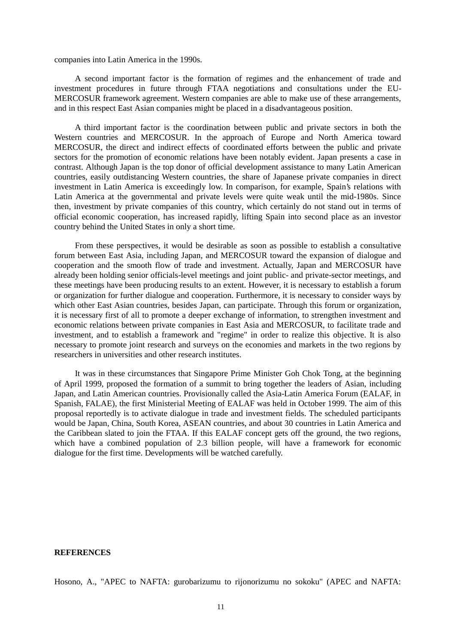companies into Latin America in the 1990s.

A second important factor is the formation of regimes and the enhancement of trade and investment procedures in future through FTAA negotiations and consultations under the EU-MERCOSUR framework agreement. Western companies are able to make use of these arrangements, and in this respect East Asian companies might be placed in a disadvantageous position.

A third important factor is the coordination between public and private sectors in both the Western countries and MERCOSUR. In the approach of Europe and North America toward MERCOSUR, the direct and indirect effects of coordinated efforts between the public and private sectors for the promotion of economic relations have been notably evident. Japan presents a case in contrast. Although Japan is the top donor of official development assistance to many Latin American countries, easily outdistancing Western countries, the share of Japanese private companies in direct investment in Latin America is exceedingly low. In comparison, for example, Spain's relations with Latin America at the governmental and private levels were quite weak until the mid-1980s. Since then, investment by private companies of this country, which certainly do not stand out in terms of official economic cooperation, has increased rapidly, lifting Spain into second place as an investor country behind the United States in only a short time.

From these perspectives, it would be desirable as soon as possible to establish a consultative forum between East Asia, including Japan, and MERCOSUR toward the expansion of dialogue and cooperation and the smooth flow of trade and investment. Actually, Japan and MERCOSUR have already been holding senior officials-level meetings and joint public- and private-sector meetings, and these meetings have been producing results to an extent. However, it is necessary to establish a forum or organization for further dialogue and cooperation. Furthermore, it is necessary to consider ways by which other East Asian countries, besides Japan, can participate. Through this forum or organization, it is necessary first of all to promote a deeper exchange of information, to strengthen investment and economic relations between private companies in East Asia and MERCOSUR, to facilitate trade and investment, and to establish a framework and "regime" in order to realize this objective. It is also necessary to promote joint research and surveys on the economies and markets in the two regions by researchers in universities and other research institutes.

It was in these circumstances that Singapore Prime Minister Goh Chok Tong, at the beginning of April 1999, proposed the formation of a summit to bring together the leaders of Asian, including Japan, and Latin American countries. Provisionally called the Asia-Latin America Forum (EALAF, in Spanish, FALAE), the first Ministerial Meeting of EALAF was held in October 1999. The aim of this proposal reportedly is to activate dialogue in trade and investment fields. The scheduled participants would be Japan, China, South Korea, ASEAN countries, and about 30 countries in Latin America and the Caribbean slated to join the FTAA. If this EALAF concept gets off the ground, the two regions, which have a combined population of 2.3 billion people, will have a framework for economic dialogue for the first time. Developments will be watched carefully.

#### **REFERENCES**

Hosono, A., "APEC to NAFTA: gurobarizumu to rijonorizumu no sokoku" (APEC and NAFTA: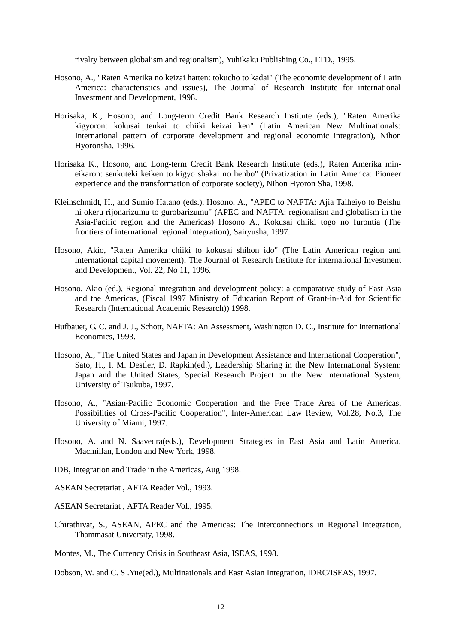rivalry between globalism and regionalism), Yuhikaku Publishing Co., LTD., 1995.

- Hosono, A., "Raten Amerika no keizai hatten: tokucho to kadai" (The economic development of Latin America: characteristics and issues), The Journal of Research Institute for international Investment and Development, 1998.
- Horisaka, K., Hosono, and Long-term Credit Bank Research Institute (eds.), "Raten Amerika kigyoron: kokusai tenkai to chiiki keizai ken" (Latin American New Multinationals: International pattern of corporate development and regional economic integration), Nihon Hyoronsha, 1996.
- Horisaka K., Hosono, and Long-term Credit Bank Research Institute (eds.), Raten Amerika mineikaron: senkuteki keiken to kigyo shakai no henbo" (Privatization in Latin America: Pioneer experience and the transformation of corporate society), Nihon Hyoron Sha, 1998.
- Kleinschmidt, H., and Sumio Hatano (eds.), Hosono, A., "APEC to NAFTA: Ajia Taiheiyo to Beishu ni okeru rijonarizumu to gurobarizumu" (APEC and NAFTA: regionalism and globalism in the Asia-Pacific region and the Americas) Hosono A., Kokusai chiiki togo no furontia (The frontiers of international regional integration), Sairyusha, 1997.
- Hosono, Akio, "Raten Amerika chiiki to kokusai shihon ido" (The Latin American region and international capital movement), The Journal of Research Institute for international Investment and Development, Vol. 22, No 11, 1996.
- Hosono, Akio (ed.), Regional integration and development policy: a comparative study of East Asia and the Americas, (Fiscal 1997 Ministry of Education Report of Grant-in-Aid for Scientific Research (International Academic Research)) 1998.
- Hufbauer, G. C. and J. J., Schott, NAFTA: An Assessment, Washington D. C., Institute for International Economics, 1993.
- Hosono, A., "The United States and Japan in Development Assistance and International Cooperation", Sato, H., I. M. Destler, D. Rapkin(ed.), Leadership Sharing in the New International System: Japan and the United States, Special Research Project on the New International System, University of Tsukuba, 1997.
- Hosono, A., "Asian-Pacific Economic Cooperation and the Free Trade Area of the Americas, Possibilities of Cross-Pacific Cooperation", Inter-American Law Review, Vol.28, No.3, The University of Miami, 1997.
- Hosono, A. and N. Saavedra(eds.), Development Strategies in East Asia and Latin America, Macmillan, London and New York, 1998.
- IDB, Integration and Trade in the Americas, Aug 1998.
- ASEAN Secretariat , AFTA Reader Vol., 1993.

ASEAN Secretariat , AFTA Reader Vol., 1995.

Chirathivat, S., ASEAN, APEC and the Americas: The Interconnections in Regional Integration, Thammasat University, 1998.

Montes, M., The Currency Crisis in Southeast Asia, ISEAS, 1998.

Dobson, W. and C. S .Yue(ed.), Multinationals and East Asian Integration, IDRC/ISEAS, 1997.